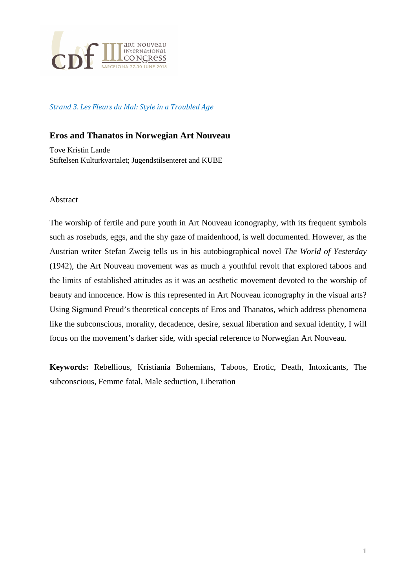

Strand 3. Les Fleurs du Mal: Style in a Troubled Age

## **Eros and Thanatos in Norwegian Art Nouveau**

Tove Kristin Lande Stiftelsen Kulturkvartalet; Jugendstilsenteret and KUBE

## Abstract

The worship of fertile and pure youth in Art Nouveau iconography, with its frequent symbols such as rosebuds, eggs, and the shy gaze of maidenhood, is well documented. However, as the Austrian writer Stefan Zweig tells us in his autobiographical novel *The World of Yesterday*  (1942), the Art Nouveau movement was as much a youthful revolt that explored taboos and the limits of established attitudes as it was an aesthetic movement devoted to the worship of beauty and innocence. How is this represented in Art Nouveau iconography in the visual arts? Using Sigmund Freud's theoretical concepts of Eros and Thanatos, which address phenomena like the subconscious, morality, decadence, desire, sexual liberation and sexual identity, I will focus on the movement's darker side, with special reference to Norwegian Art Nouveau.

**Keywords:** Rebellious, Kristiania Bohemians, Taboos, Erotic, Death, Intoxicants, The subconscious, Femme fatal, Male seduction, Liberation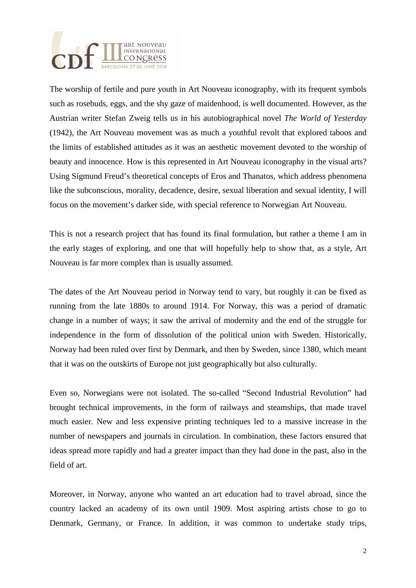

The worship of fertile and pure youth in Art Nouveau iconography, with its frequent symbols such as rosebuds, eggs, and the shy gaze of maidenhood, is well documented. However, as the Austrian writer Stefan Zweig tells us in his autobiographical novel *The World of Yesterday*  (1942), the Art Nouveau movement was as much a youthful revolt that explored taboos and the limits of established attitudes as it was an aesthetic movement devoted to the worship of beauty and innocence. How is this represented in Art Nouveau iconography in the visual arts? Using Sigmund Freud's theoretical concepts of Eros and Thanatos, which address phenomena like the subconscious, morality, decadence, desire, sexual liberation and sexual identity, I will focus on the movement's darker side, with special reference to Norwegian Art Nouveau.

This is not a research project that has found its final formulation, but rather a theme I am in the early stages of exploring, and one that will hopefully help to show that, as a style, Art Nouveau is far more complex than is usually assumed.

The dates of the Art Nouveau period in Norway tend to vary, but roughly it can be fixed as running from the late 1880s to around 1914. For Norway, this was a period of dramatic change in a number of ways; it saw the arrival of modernity and the end of the struggle for independence in the form of dissolution of the political union with Sweden. Historically, Norway had been ruled over first by Denmark, and then by Sweden, since 1380, which meant that it was on the outskirts of Europe not just geographically but also culturally.

Even so, Norwegians were not isolated. The so-called "Second Industrial Revolution" had brought technical improvements, in the form of railways and steamships, that made travel much easier. New and less expensive printing techniques led to a massive increase in the number of newspapers and journals in circulation. In combination, these factors ensured that ideas spread more rapidly and had a greater impact than they had done in the past, also in the field of art.

Moreover, in Norway, anyone who wanted an art education had to travel abroad, since the country lacked an academy of its own until 1909. Most aspiring artists chose to go to Denmark, Germany, or France. In addition, it was common to undertake study trips,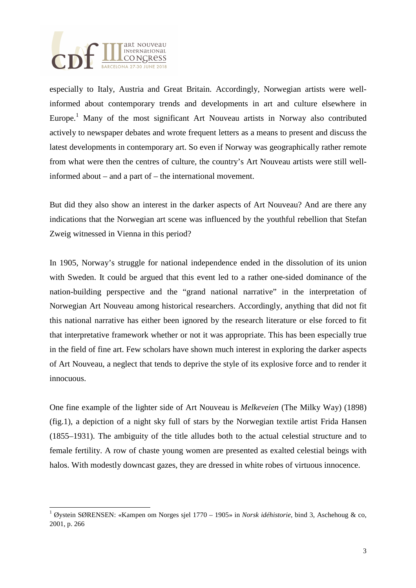

 $\overline{a}$ 

especially to Italy, Austria and Great Britain. Accordingly, Norwegian artists were wellinformed about contemporary trends and developments in art and culture elsewhere in Europe.<sup>1</sup> Many of the most significant Art Nouveau artists in Norway also contributed actively to newspaper debates and wrote frequent letters as a means to present and discuss the latest developments in contemporary art. So even if Norway was geographically rather remote from what were then the centres of culture, the country's Art Nouveau artists were still wellinformed about – and a part of – the international movement.

But did they also show an interest in the darker aspects of Art Nouveau? And are there any indications that the Norwegian art scene was influenced by the youthful rebellion that Stefan Zweig witnessed in Vienna in this period?

In 1905, Norway's struggle for national independence ended in the dissolution of its union with Sweden. It could be argued that this event led to a rather one-sided dominance of the nation-building perspective and the "grand national narrative" in the interpretation of Norwegian Art Nouveau among historical researchers. Accordingly, anything that did not fit this national narrative has either been ignored by the research literature or else forced to fit that interpretative framework whether or not it was appropriate. This has been especially true in the field of fine art. Few scholars have shown much interest in exploring the darker aspects of Art Nouveau, a neglect that tends to deprive the style of its explosive force and to render it innocuous.

One fine example of the lighter side of Art Nouveau is *Melkeveien* (The Milky Way) (1898) (fig.1), a depiction of a night sky full of stars by the Norwegian textile artist Frida Hansen (1855–1931). The ambiguity of the title alludes both to the actual celestial structure and to female fertility. A row of chaste young women are presented as exalted celestial beings with halos. With modestly downcast gazes, they are dressed in white robes of virtuous innocence.

<sup>1</sup> Øystein SØRENSEN: «Kampen om Norges sjel 1770 – 1905» in *Norsk idéhistorie*, bind 3, Aschehoug & co, 2001, p. 266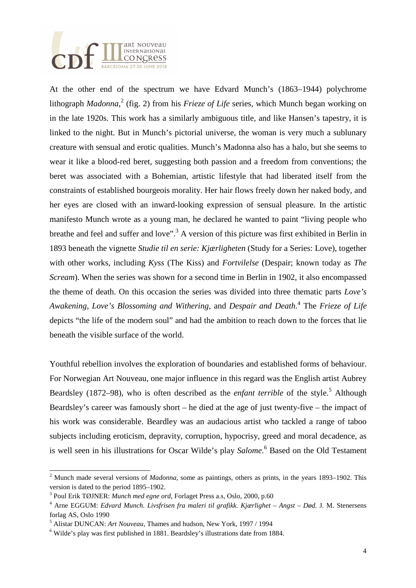

At the other end of the spectrum we have Edvard Munch's (1863–1944) polychrome lithograph *Madonna*, 2 (fig. 2) from his *Frieze of Life* series, which Munch began working on in the late 1920s. This work has a similarly ambiguous title, and like Hansen's tapestry, it is linked to the night. But in Munch's pictorial universe, the woman is very much a sublunary creature with sensual and erotic qualities. Munch's Madonna also has a halo, but she seems to wear it like a blood-red beret, suggesting both passion and a freedom from conventions; the beret was associated with a Bohemian, artistic lifestyle that had liberated itself from the constraints of established bourgeois morality. Her hair flows freely down her naked body, and her eyes are closed with an inward-looking expression of sensual pleasure. In the artistic manifesto Munch wrote as a young man, he declared he wanted to paint "living people who breathe and feel and suffer and love".<sup>3</sup> A version of this picture was first exhibited in Berlin in 1893 beneath the vignette *Studie til en serie: Kjærligheten* (Study for a Series: Love), together with other works, including *Kyss* (The Kiss) and *Fortvilelse* (Despair; known today as *The Scream*). When the series was shown for a second time in Berlin in 1902, it also encompassed the theme of death. On this occasion the series was divided into three thematic parts *Love's Awakening*, *Love's Blossoming and Withering*, and *Despair and Death*. 4 The *Frieze of Life* depicts "the life of the modern soul" and had the ambition to reach down to the forces that lie beneath the visible surface of the world.

Youthful rebellion involves the exploration of boundaries and established forms of behaviour. For Norwegian Art Nouveau, one major influence in this regard was the English artist Aubrey Beardsley (1872–98), who is often described as the *enfant terrible* of the style.<sup>5</sup> Although Beardsley's career was famously short – he died at the age of just twenty-five – the impact of his work was considerable. Beardley was an audacious artist who tackled a range of taboo subjects including eroticism, depravity, corruption, hypocrisy, greed and moral decadence, as is well seen in his illustrations for Oscar Wilde's play *Salome*.<sup>6</sup> Based on the Old Testament

 $\overline{a}$ 

<sup>&</sup>lt;sup>2</sup> Munch made several versions of *Madonna*, some as paintings, others as prints, in the years 1893–1902. This version is dated to the period 1895–1902.

<sup>3</sup> Poul Erik TØJNER: *Munch med egne ord*, Forlaget Press a.s, Oslo, 2000, p.60

<sup>4</sup> Arne EGGUM: *Edvard Munch. Livsfrisen fra maleri til grafikk. Kjærlighet – Angst – Død.* J. M. Stenersens forlag AS, Oslo 1990

<sup>5</sup> Alistar DUNCAN: *Art Nouveau*, Thames and hudson, New York, 1997 / 1994

<sup>&</sup>lt;sup>6</sup> Wilde's play was first published in 1881. Beardsley's illustrations date from 1884.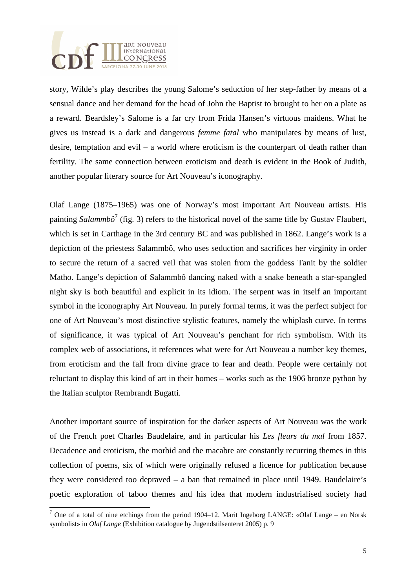

 $\overline{a}$ 

story, Wilde's play describes the young Salome's seduction of her step-father by means of a sensual dance and her demand for the head of John the Baptist to brought to her on a plate as a reward. Beardsley's Salome is a far cry from Frida Hansen's virtuous maidens. What he gives us instead is a dark and dangerous *femme fatal* who manipulates by means of lust, desire, temptation and evil – a world where eroticism is the counterpart of death rather than fertility. The same connection between eroticism and death is evident in the Book of Judith, another popular literary source for Art Nouveau's iconography.

Olaf Lange (1875–1965) was one of Norway's most important Art Nouveau artists. His painting *Salammbô*<sup>7</sup> (fig. 3) refers to the historical novel of the same title by Gustav Flaubert, which is set in Carthage in the 3rd century BC and was published in 1862. Lange's work is a depiction of the priestess Salammbô, who uses seduction and sacrifices her virginity in order to secure the return of a sacred veil that was stolen from the goddess Tanit by the soldier Matho. Lange's depiction of Salammbô dancing naked with a snake beneath a star-spangled night sky is both beautiful and explicit in its idiom. The serpent was in itself an important symbol in the iconography Art Nouveau. In purely formal terms, it was the perfect subject for one of Art Nouveau's most distinctive stylistic features, namely the whiplash curve. In terms of significance, it was typical of Art Nouveau's penchant for rich symbolism. With its complex web of associations, it references what were for Art Nouveau a number key themes, from eroticism and the fall from divine grace to fear and death. People were certainly not reluctant to display this kind of art in their homes – works such as the 1906 bronze python by the Italian sculptor Rembrandt Bugatti.

Another important source of inspiration for the darker aspects of Art Nouveau was the work of the French poet Charles Baudelaire, and in particular his *Les fleurs du mal* from 1857. Decadence and eroticism, the morbid and the macabre are constantly recurring themes in this collection of poems, six of which were originally refused a licence for publication because they were considered too depraved – a ban that remained in place until 1949. Baudelaire's poetic exploration of taboo themes and his idea that modern industrialised society had

<sup>&</sup>lt;sup>7</sup> One of a total of nine etchings from the period 1904–12. Marit Ingeborg LANGE: «Olaf Lange – en Norsk symbolist» in *Olaf Lange* (Exhibition catalogue by Jugendstilsenteret 2005) p. 9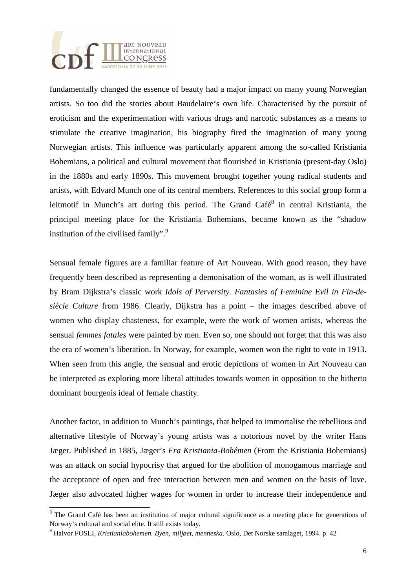

fundamentally changed the essence of beauty had a major impact on many young Norwegian artists. So too did the stories about Baudelaire's own life. Characterised by the pursuit of eroticism and the experimentation with various drugs and narcotic substances as a means to stimulate the creative imagination, his biography fired the imagination of many young Norwegian artists. This influence was particularly apparent among the so-called Kristiania Bohemians, a political and cultural movement that flourished in Kristiania (present-day Oslo) in the 1880s and early 1890s. This movement brought together young radical students and artists, with Edvard Munch one of its central members. References to this social group form a leitmotif in Munch's art during this period. The Grand Café $8$  in central Kristiania, the principal meeting place for the Kristiania Bohemians, became known as the "shadow institution of the civilised family". $\frac{9}{2}$ 

Sensual female figures are a familiar feature of Art Nouveau. With good reason, they have frequently been described as representing a demonisation of the woman, as is well illustrated by Bram Dijkstra's classic work *Idols of Perversity. Fantasies of Feminine Evil in Fin-desiècle Culture* from 1986. Clearly, Dijkstra has a point – the images described above of women who display chasteness, for example, were the work of women artists, whereas the sensual *femmes fatales* were painted by men. Even so, one should not forget that this was also the era of women's liberation. In Norway, for example, women won the right to vote in 1913. When seen from this angle, the sensual and erotic depictions of women in Art Nouveau can be interpreted as exploring more liberal attitudes towards women in opposition to the hitherto dominant bourgeois ideal of female chastity.

Another factor, in addition to Munch's paintings, that helped to immortalise the rebellious and alternative lifestyle of Norway's young artists was a notorious novel by the writer Hans Jæger. Published in 1885, Jæger's *Fra Kristiania-Bohêmen* (From the Kristiania Bohemians) was an attack on social hypocrisy that argued for the abolition of monogamous marriage and the acceptance of open and free interaction between men and women on the basis of love. Jæger also advocated higher wages for women in order to increase their independence and

 $\overline{a}$ 

<sup>&</sup>lt;sup>8</sup> The Grand Café has been an institution of major cultural significance as a meeting place for generations of Norway's cultural and social elite. It still exists today.

<sup>9</sup> Halvor FOSLI, *Kristianiabohemen. Byen, miljøet, menneska.* Oslo, Det Norske samlaget*,* 1994. p. 42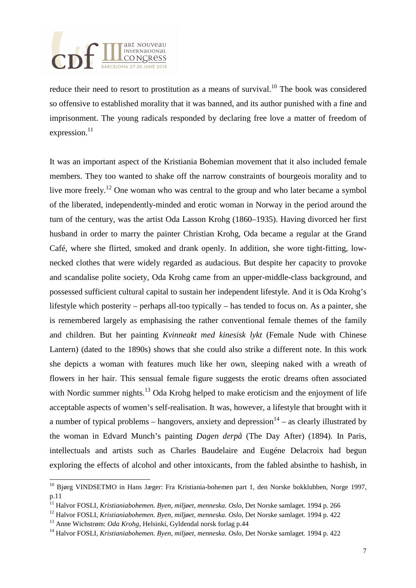

reduce their need to resort to prostitution as a means of survival.<sup>10</sup> The book was considered so offensive to established morality that it was banned, and its author punished with a fine and imprisonment. The young radicals responded by declaring free love a matter of freedom of expression.<sup>11</sup>

It was an important aspect of the Kristiania Bohemian movement that it also included female members. They too wanted to shake off the narrow constraints of bourgeois morality and to live more freely.<sup>12</sup> One woman who was central to the group and who later became a symbol of the liberated, independently-minded and erotic woman in Norway in the period around the turn of the century, was the artist Oda Lasson Krohg (1860–1935). Having divorced her first husband in order to marry the painter Christian Krohg, Oda became a regular at the Grand Café, where she flirted, smoked and drank openly. In addition, she wore tight-fitting, lownecked clothes that were widely regarded as audacious. But despite her capacity to provoke and scandalise polite society, Oda Krohg came from an upper-middle-class background, and possessed sufficient cultural capital to sustain her independent lifestyle. And it is Oda Krohg's lifestyle which posterity – perhaps all-too typically – has tended to focus on. As a painter, she is remembered largely as emphasising the rather conventional female themes of the family and children. But her painting *Kvinneakt med kinesisk lykt* (Female Nude with Chinese Lantern) (dated to the 1890s) shows that she could also strike a different note. In this work she depicts a woman with features much like her own, sleeping naked with a wreath of flowers in her hair. This sensual female figure suggests the erotic dreams often associated with Nordic summer nights.<sup>13</sup> Oda Krohg helped to make eroticism and the enjoyment of life acceptable aspects of women's self-realisation. It was, however, a lifestyle that brought with it a number of typical problems – hangovers, anxiety and depression<sup>14</sup> – as clearly illustrated by the woman in Edvard Munch's painting *Dagen derpå* (The Day After) (1894). In Paris, intellectuals and artists such as Charles Baudelaire and Eugéne Delacroix had begun exploring the effects of alcohol and other intoxicants, from the fabled absinthe to hashish, in

 $\overline{a}$ 

<sup>&</sup>lt;sup>10</sup> Bjørg VINDSETMO in Hans Jæger: Fra Kristiania-bohemen part 1, den Norske bokklubben, Norge 1997, p.11

<sup>11</sup> Halvor FOSLI, *Kristianiabohemen. Byen, miljøet, menneska. Oslo,* Det Norske samlaget*.* 1994 p. 266

<sup>12</sup> Halvor FOSLI, *Kristianiabohemen. Byen, miljøet, menneska. Oslo,* Det Norske samlaget*.* 1994 p. 422

<sup>13</sup> Anne Wichstrøm: *Oda Krohg*, Helsinki, Gyldendal norsk forlag p.44

<sup>14</sup> Halvor FOSLI, *Kristianiabohemen. Byen, miljøet, menneska. Oslo,* Det Norske samlaget*.* 1994 p. 422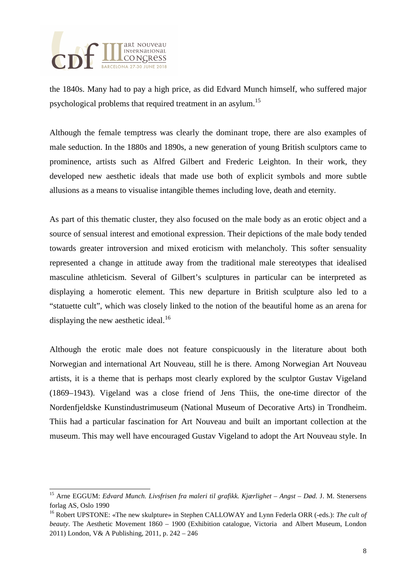

the 1840s. Many had to pay a high price, as did Edvard Munch himself, who suffered major psychological problems that required treatment in an asylum.<sup>15</sup>

Although the female temptress was clearly the dominant trope, there are also examples of male seduction. In the 1880s and 1890s, a new generation of young British sculptors came to prominence, artists such as Alfred Gilbert and Frederic Leighton. In their work, they developed new aesthetic ideals that made use both of explicit symbols and more subtle allusions as a means to visualise intangible themes including love, death and eternity.

As part of this thematic cluster, they also focused on the male body as an erotic object and a source of sensual interest and emotional expression. Their depictions of the male body tended towards greater introversion and mixed eroticism with melancholy. This softer sensuality represented a change in attitude away from the traditional male stereotypes that idealised masculine athleticism. Several of Gilbert's sculptures in particular can be interpreted as displaying a homerotic element. This new departure in British sculpture also led to a "statuette cult", which was closely linked to the notion of the beautiful home as an arena for displaying the new aesthetic ideal. $^{16}$ 

Although the erotic male does not feature conspicuously in the literature about both Norwegian and international Art Nouveau, still he is there. Among Norwegian Art Nouveau artists, it is a theme that is perhaps most clearly explored by the sculptor Gustav Vigeland (1869–1943). Vigeland was a close friend of Jens Thiis, the one-time director of the Nordenfjeldske Kunstindustrimuseum (National Museum of Decorative Arts) in Trondheim. Thiis had a particular fascination for Art Nouveau and built an important collection at the museum. This may well have encouraged Gustav Vigeland to adopt the Art Nouveau style. In

 $\overline{a}$ <sup>15</sup> Arne EGGUM: *Edvard Munch. Livsfrisen fra maleri til grafikk. Kjærlighet – Angst – Død.* J. M. Stenersens forlag AS, Oslo 1990

<sup>16</sup> Robert UPSTONE: «The new skulpture» in Stephen CALLOWAY and Lynn Federla ORR (-eds.): *The cult of beauty*. The Aesthetic Movement 1860 – 1900 (Exhibition catalogue, Victoria and Albert Museum, London 2011) London, V& A Publishing, 2011, p. 242 – 246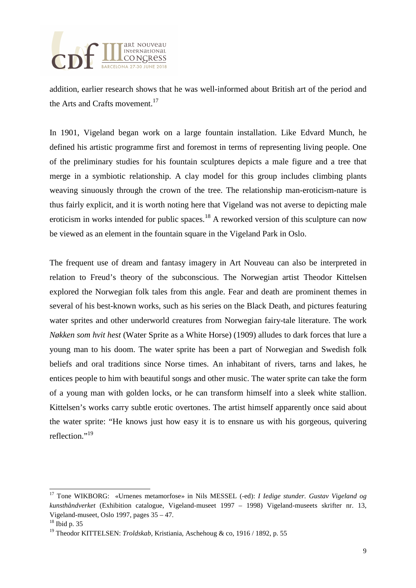

addition, earlier research shows that he was well-informed about British art of the period and the Arts and Crafts movement.<sup>17</sup>

In 1901, Vigeland began work on a large fountain installation. Like Edvard Munch, he defined his artistic programme first and foremost in terms of representing living people. One of the preliminary studies for his fountain sculptures depicts a male figure and a tree that merge in a symbiotic relationship. A clay model for this group includes climbing plants weaving sinuously through the crown of the tree. The relationship man-eroticism-nature is thus fairly explicit, and it is worth noting here that Vigeland was not averse to depicting male eroticism in works intended for public spaces.<sup>18</sup> A reworked version of this sculpture can now be viewed as an element in the fountain square in the Vigeland Park in Oslo.

The frequent use of dream and fantasy imagery in Art Nouveau can also be interpreted in relation to Freud's theory of the subconscious. The Norwegian artist Theodor Kittelsen explored the Norwegian folk tales from this angle. Fear and death are prominent themes in several of his best-known works, such as his series on the Black Death, and pictures featuring water sprites and other underworld creatures from Norwegian fairy-tale literature. The work *Nøkken som hvit hest* (Water Sprite as a White Horse) (1909) alludes to dark forces that lure a young man to his doom. The water sprite has been a part of Norwegian and Swedish folk beliefs and oral traditions since Norse times. An inhabitant of rivers, tarns and lakes, he entices people to him with beautiful songs and other music. The water sprite can take the form of a young man with golden locks, or he can transform himself into a sleek white stallion. Kittelsen's works carry subtle erotic overtones. The artist himself apparently once said about the water sprite: "He knows just how easy it is to ensnare us with his gorgeous, quivering reflection<sup>"19</sup>

 $\overline{a}$ <sup>17</sup> Tone WIKBORG: «Urnenes metamorfose» in Nils MESSEL (-ed): *I Iedige stunder. Gustav Vigeland og kunsthåndverket* (Exhibition catalogue, Vigeland-museet 1997 – 1998) Vigeland-museets skrifter nr. 13, Vigeland-museet, Oslo 1997, pages 35 – 47.

<sup>18</sup> Ibid p. 35

<sup>19</sup> Theodor KITTELSEN: *Troldskab*, Kristiania, Aschehoug & co, 1916 / 1892, p. 55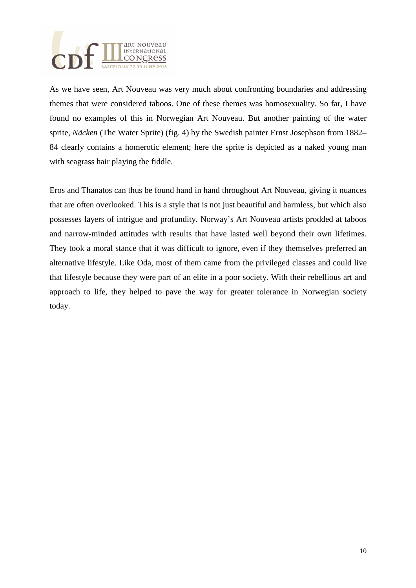

As we have seen, Art Nouveau was very much about confronting boundaries and addressing themes that were considered taboos. One of these themes was homosexuality. So far, I have found no examples of this in Norwegian Art Nouveau. But another painting of the water sprite, *Näcken* (The Water Sprite) (fig. 4) by the Swedish painter Ernst Josephson from 1882– 84 clearly contains a homerotic element; here the sprite is depicted as a naked young man with seagrass hair playing the fiddle.

Eros and Thanatos can thus be found hand in hand throughout Art Nouveau, giving it nuances that are often overlooked. This is a style that is not just beautiful and harmless, but which also possesses layers of intrigue and profundity. Norway's Art Nouveau artists prodded at taboos and narrow-minded attitudes with results that have lasted well beyond their own lifetimes. They took a moral stance that it was difficult to ignore, even if they themselves preferred an alternative lifestyle. Like Oda, most of them came from the privileged classes and could live that lifestyle because they were part of an elite in a poor society. With their rebellious art and approach to life, they helped to pave the way for greater tolerance in Norwegian society today.